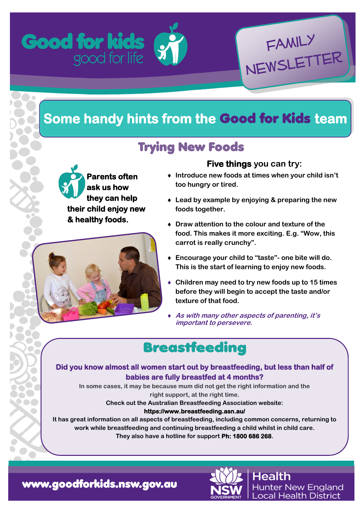

# **Some handy hints from the** Good for Kids **team**

## Trying New Foods





### **Five things you can try:**

Family

Newsletter

- **Introduce new foods at times when your child isn't too hungry or tired.**
- **Lead by example by enjoying & preparing the new foods together.**
- **Draw attention to the colour and texture of the food. This makes it more exciting. E.g. "Wow, this carrot is really crunchy".**
- **Encourage your child to "taste"- one bite will do. This is the start of learning to enjoy new foods.**
- **Children may need to try new foods up to 15 times before they will begin to accept the taste and/or texture of that food.**
- **As with many other aspects of parenting, it's important to persevere.**

## **Breastfeeding**

#### **Did you know almost all women start out by breastfeeding, but less than half of babies are fully breastfed at 4 months?**

**In some cases, it may be because mum did not get the right information and the right support, at the right time.**

**Check out the Australian Breastfeeding Association website:**

**https://www.breastfeeding.asn.au/** 

**It has great information on all aspects of breastfeeding, including common concerns, returning to work while breastfeeding and continuing breastfeeding a child whilst in child care. They also have a hotline for support Ph: 1800 686 268.**

[www.goodforkids.nsw.gov.au](http://www.goodforkids.nsw.gov.au/)